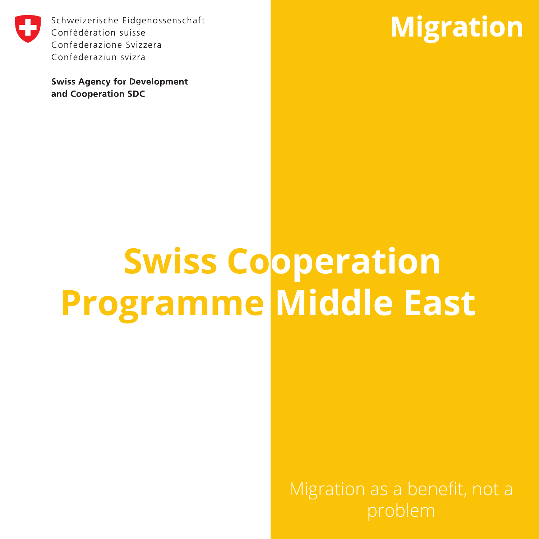

Schweizerische Eidgenossenschaft Confédération suisse Confederazione Svizzera Confederaziun svizra

**Swiss Agency for Development** and Cooperation SDC

# **Migration**

# **Swiss Cooperation Programme Middle East**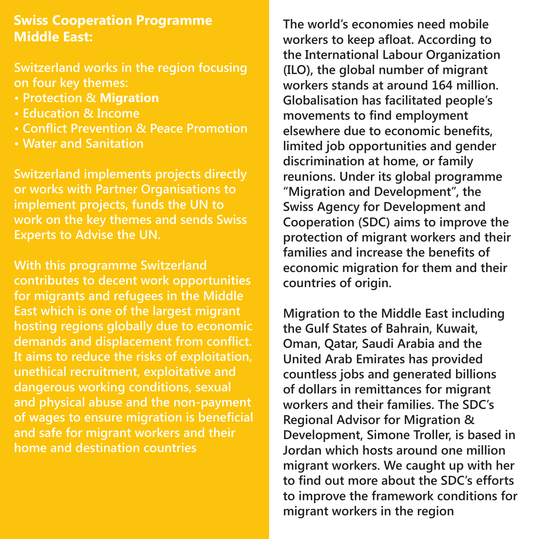# **Swiss Cooperation Programme Middle East:**

**Switzerland works in the region focusing on four key themes:** 

- **Protection & Migration**
- **Education & Income**
- **Conflict Prevention & Peace Promotion**
- **Water and Sanitation**

**Switzerland implements projects directly or works with Partner Organisations to implement projects, funds the UN to work on the key themes and sends Swiss Experts to Advise the UN.** 

**With this programme Switzerland contributes to decent work opportunities for migrants and refugees in the Middle East which is one of the largest migrant hosting regions globally due to economic demands and displacement from conflict. It aims to reduce the risks of exploitation, unethical recruitment, exploitative and dangerous working conditions, sexual and physical abuse and the non-payment of wages to ensure migration is beneficial and safe for migrant workers and their home and destination countries**

**The world's economies need mobile workers to keep afloat. According to the International Labour Organization (ILO), the global number of migrant workers stands at around 164 million. Globalisation has facilitated people's movements to find employment elsewhere due to economic benefits, limited job opportunities and gender discrimination at home, or family reunions. Under its global programme "Migration and Development", the Swiss Agency for Development and Cooperation (SDC) aims to improve the protection of migrant workers and their families and increase the benefits of economic migration for them and their countries of origin.**

**Migration to the Middle East including the Gulf States of Bahrain, Kuwait, Oman, Qatar, Saudi Arabia and the United Arab Emirates has provided countless jobs and generated billions of dollars in remittances for migrant workers and their families. The SDC's Regional Advisor for Migration & Development, Simone Troller, is based in Jordan which hosts around one million migrant workers. We caught up with her to find out more about the SDC's efforts to improve the framework conditions for migrant workers in the region**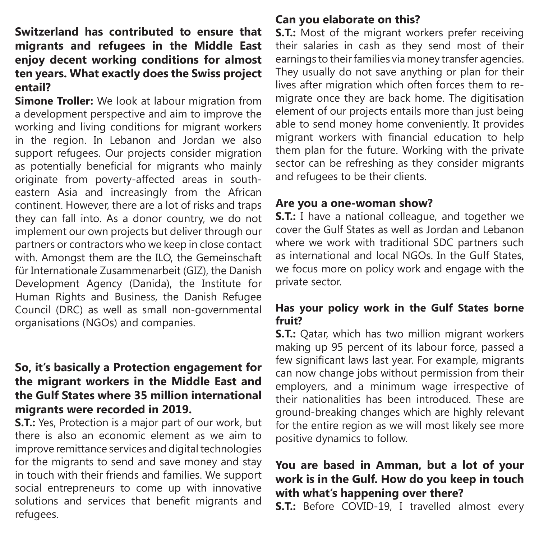# **Switzerland has contributed to ensure that migrants and refugees in the Middle East enjoy decent working conditions for almost ten years. What exactly does the Swiss project entail?**

**Simone Troller:** We look at labour migration from a development perspective and aim to improve the working and living conditions for migrant workers in the region. In Lebanon and Jordan we also support refugees. Our projects consider migration as potentially beneficial for migrants who mainly originate from poverty-affected areas in southeastern Asia and increasingly from the African continent. However, there are a lot of risks and traps they can fall into. As a donor country, we do not implement our own projects but deliver through our partners or contractors who we keep in close contact with. Amongst them are the ILO, the Gemeinschaft für Internationale Zusammenarbeit (GIZ), the Danish Development Agency (Danida), the Institute for Human Rights and Business, the Danish Refugee Council (DRC) as well as small non-governmental organisations (NGOs) and companies.

#### **So, it's basically a Protection engagement for the migrant workers in the Middle East and the Gulf States where 35 million international migrants were recorded in 2019.**

**S.T.:** Yes, Protection is a major part of our work, but there is also an economic element as we aim to improve remittance services and digital technologies for the migrants to send and save money and stay in touch with their friends and families. We support social entrepreneurs to come up with innovative solutions and services that benefit migrants and refugees.

#### **Can you elaborate on this?**

**S.T.:** Most of the migrant workers prefer receiving their salaries in cash as they send most of their earnings to their families via money transfer agencies. They usually do not save anything or plan for their lives after migration which often forces them to remigrate once they are back home. The digitisation element of our projects entails more than just being able to send money home conveniently. It provides migrant workers with financial education to help them plan for the future. Working with the private sector can be refreshing as they consider migrants and refugees to be their clients.

#### **Are you a one-woman show?**

**S.T.:** I have a national colleague, and together we cover the Gulf States as well as Jordan and Lebanon where we work with traditional SDC partners such as international and local NGOs. In the Gulf States, we focus more on policy work and engage with the private sector.

#### **Has your policy work in the Gulf States borne fruit?**

**S.T.:** Qatar, which has two million migrant workers making up 95 percent of its labour force, passed a few significant laws last year. For example, migrants can now change jobs without permission from their employers, and a minimum wage irrespective of their nationalities has been introduced. These are ground-breaking changes which are highly relevant for the entire region as we will most likely see more positive dynamics to follow.

#### **You are based in Amman, but a lot of your work is in the Gulf. How do you keep in touch with what's happening over there?**

**S.T.:** Before COVID-19, I travelled almost every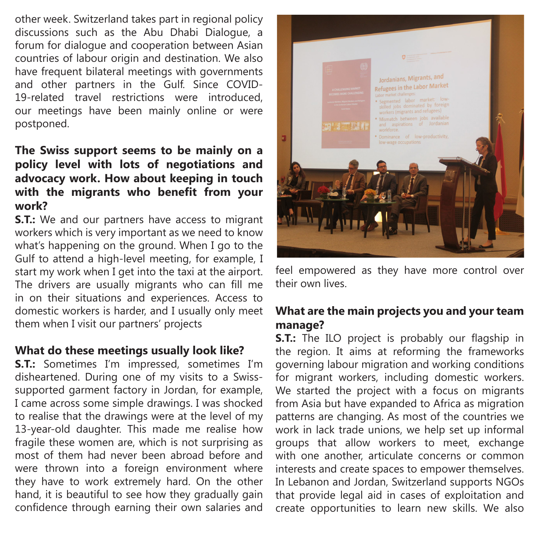other week. Switzerland takes part in regional policy discussions such as the Abu Dhabi Dialogue, a forum for dialogue and cooperation between Asian countries of labour origin and destination. We also have frequent bilateral meetings with governments and other partners in the Gulf. Since COVID-19-related travel restrictions were introduced, our meetings have been mainly online or were postponed.

#### **The Swiss support seems to be mainly on a policy level with lots of negotiations and advocacy work. How about keeping in touch with the migrants who benefit from your work?**

**S.T.:** We and our partners have access to migrant workers which is very important as we need to know what's happening on the ground. When I go to the Gulf to attend a high-level meeting, for example, I start my work when I get into the taxi at the airport. The drivers are usually migrants who can fill me in on their situations and experiences. Access to domestic workers is harder, and I usually only meet them when I visit our partners' projects

#### **What do these meetings usually look like?**

**S.T.:** Sometimes I'm impressed, sometimes I'm disheartened. During one of my visits to a Swisssupported garment factory in Jordan, for example, I came across some simple drawings. I was shocked to realise that the drawings were at the level of my 13-year-old daughter. This made me realise how fragile these women are, which is not surprising as most of them had never been abroad before and were thrown into a foreign environment where they have to work extremely hard. On the other hand, it is beautiful to see how they gradually gain confidence through earning their own salaries and



feel empowered as they have more control over their own lives.

# **What are the main projects you and your team manage?**

**S.T.:** The ILO project is probably our flagship in the region. It aims at reforming the frameworks governing labour migration and working conditions for migrant workers, including domestic workers. We started the project with a focus on migrants from Asia but have expanded to Africa as migration patterns are changing. As most of the countries we work in lack trade unions, we help set up informal groups that allow workers to meet, exchange with one another, articulate concerns or common interests and create spaces to empower themselves. In Lebanon and Jordan, Switzerland supports NGOs that provide legal aid in cases of exploitation and create opportunities to learn new skills. We also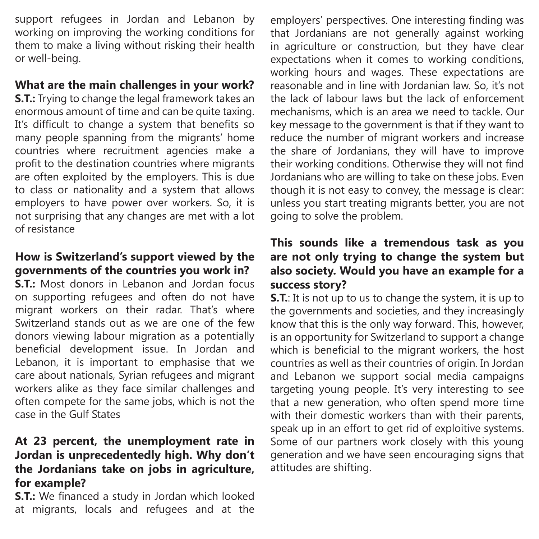support refugees in Jordan and Lebanon by working on improving the working conditions for them to make a living without risking their health or well-being.

#### **What are the main challenges in your work?**

**S.T.:** Trying to change the legal framework takes an enormous amount of time and can be quite taxing. It's difficult to change a system that benefits so many people spanning from the migrants' home countries where recruitment agencies make a profit to the destination countries where migrants are often exploited by the employers. This is due to class or nationality and a system that allows employers to have power over workers. So, it is not surprising that any changes are met with a lot of resistance

# **How is Switzerland's support viewed by the governments of the countries you work in?**

**S.T.:** Most donors in Lebanon and Jordan focus on supporting refugees and often do not have migrant workers on their radar. That's where Switzerland stands out as we are one of the few donors viewing labour migration as a potentially beneficial development issue. In Jordan and Lebanon, it is important to emphasise that we care about nationals, Syrian refugees and migrant workers alike as they face similar challenges and often compete for the same jobs, which is not the case in the Gulf States

# **At 23 percent, the unemployment rate in Jordan is unprecedentedly high. Why don't the Jordanians take on jobs in agriculture, for example?**

**S.T.:** We financed a study in Jordan which looked at migrants, locals and refugees and at the

employers' perspectives. One interesting finding was that Jordanians are not generally against working in agriculture or construction, but they have clear expectations when it comes to working conditions, working hours and wages. These expectations are reasonable and in line with Jordanian law. So, it's not the lack of labour laws but the lack of enforcement mechanisms, which is an area we need to tackle. Our key message to the government is that if they want to reduce the number of migrant workers and increase the share of Jordanians, they will have to improve their working conditions. Otherwise they will not find Jordanians who are willing to take on these jobs. Even though it is not easy to convey, the message is clear: unless you start treating migrants better, you are not going to solve the problem.

# **This sounds like a tremendous task as you are not only trying to change the system but also society. Would you have an example for a success story?**

**S.T.**: It is not up to us to change the system, it is up to the governments and societies, and they increasingly know that this is the only way forward. This, however, is an opportunity for Switzerland to support a change which is beneficial to the migrant workers, the host countries as well as their countries of origin. In Jordan and Lebanon we support social media campaigns targeting young people. It's very interesting to see that a new generation, who often spend more time with their domestic workers than with their parents, speak up in an effort to get rid of exploitive systems. Some of our partners work closely with this young generation and we have seen encouraging signs that attitudes are shifting.